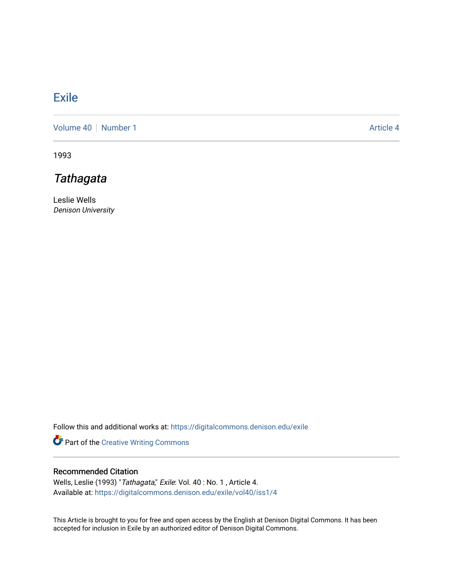## **[Exile](https://digitalcommons.denison.edu/exile)**

[Volume 40](https://digitalcommons.denison.edu/exile/vol40) [Number 1](https://digitalcommons.denison.edu/exile/vol40/iss1) Article 4

1993

## **Tathagata**

Leslie Wells Denison University

Follow this and additional works at: [https://digitalcommons.denison.edu/exile](https://digitalcommons.denison.edu/exile?utm_source=digitalcommons.denison.edu%2Fexile%2Fvol40%2Fiss1%2F4&utm_medium=PDF&utm_campaign=PDFCoverPages) 

Part of the [Creative Writing Commons](http://network.bepress.com/hgg/discipline/574?utm_source=digitalcommons.denison.edu%2Fexile%2Fvol40%2Fiss1%2F4&utm_medium=PDF&utm_campaign=PDFCoverPages) 

## Recommended Citation

Wells, Leslie (1993) "Tathagata," Exile: Vol. 40 : No. 1 , Article 4. Available at: [https://digitalcommons.denison.edu/exile/vol40/iss1/4](https://digitalcommons.denison.edu/exile/vol40/iss1/4?utm_source=digitalcommons.denison.edu%2Fexile%2Fvol40%2Fiss1%2F4&utm_medium=PDF&utm_campaign=PDFCoverPages) 

This Article is brought to you for free and open access by the English at Denison Digital Commons. It has been accepted for inclusion in Exile by an authorized editor of Denison Digital Commons.